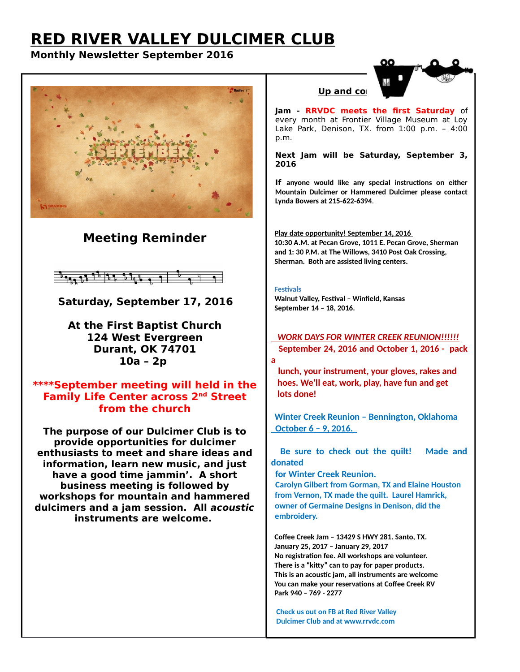# **RED RIVER VALLEY DULCIMER CLUB**

### **Monthly Newsletter September 2016**



## **Meeting Reminder**



 **Saturday, September 17, 2016**

**At the First Baptist Church 124 West Evergreen Durant, OK 74701 10a – 2p** 

#### **\*\*\*\*September meeting will held in the Family Life Center across 2nd Street from the church**

**The purpose of our Dulcimer Club is to provide opportunities for dulcimer enthusiasts to meet and share ideas and information, learn new music, and just have a good time jammin'. A short business meeting is followed by workshops for mountain and hammered dulcimers and a jam session. All acoustic instruments are welcome.** 

#### **Up and com**

**Jam - RRVDC meets the first Saturday** of every month at Frontier Village Museum at Loy Lake Park, Denison, TX. from 1:00 p.m. – 4:00 p.m.

**Next Jam will be Saturday, September 3, 2016**

**If anyone would like any special instructions on either Mountain Dulcimer or Hammered Dulcimer please contact Lynda Bowers at 215-622-6394**.

 **Play date opportunity! September 14, 2016 10:30 A.M. at Pecan Grove, 1011 E. Pecan Grove, Sherman and 1: 30 P.M. at The Willows, 3410 Post Oak Crossing, Sherman. Both are assisted living centers.**

#### **Festivals**

 **Walnut Valley, Festival – Winfield, Kansas September 14 – 18, 2016.**

 *WORK DAYS FOR WINTER CREEK REUNION!!!!!!*  **September 24, 2016 and October 1, 2016 - pack a** 

 **lunch, your instrument, your gloves, rakes and hoes. We'll eat, work, play, have fun and get lots done!**

 **Winter Creek Reunion – Bennington, Oklahoma October 6 – 9, 2016.** 

 **Be sure to check out the quilt! Made and donated**

 **for Winter Creek Reunion.**

 **Carolyn Gilbert from Gorman, TX and Elaine Houston from Vernon, TX made the quilt. Laurel Hamrick, owner of Germaine Designs in Denison, did the embroidery.** 

 **Coffee Creek Jam – 13429 S HWY 281. Santo, TX. January 25, 2017 – January 29, 2017 No registration fee. All workshops are volunteer. There is a "kitty" can to pay for paper products. This is an acoustic jam, all instruments are welcome You can make your reservations at Coffee Creek RV Park 940 – 769 - 2277** 

 **Check us out on FB at Red River Valley Dulcimer Club and at www.rrvdc.com**